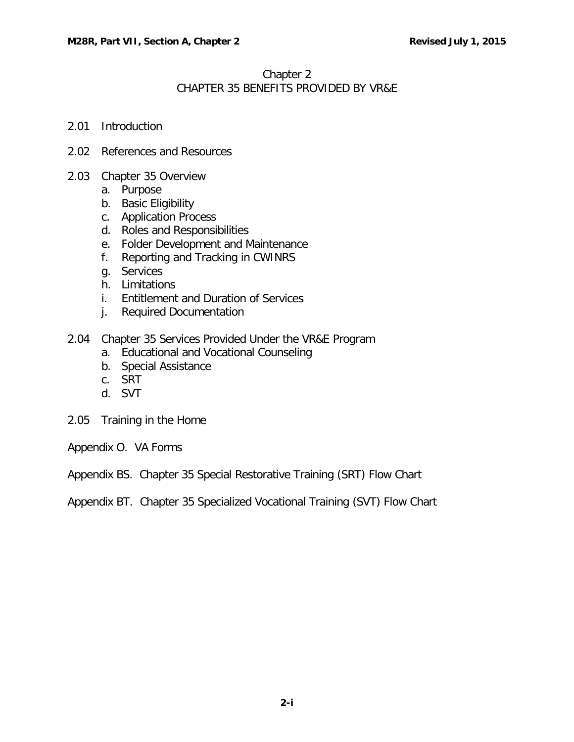## Chapter 2 CHAPTER 35 BENEFITS PROVIDED BY VR&E

- 2.01 [Introduction](#page-1-0)
- 2.02 [References and](#page-1-1) Resources
- 2.03 [Chapter 35 Overview](#page-2-0)
	- a. [Purpose](#page-2-1)
	- b. Basic [Eligibility](#page-2-2)
	- c. [Application Process](#page-2-3)
	- d. Roles and [Responsibilities](#page-3-0)
	- e. [Folder Development and Maintenance](#page-5-0)
	- f. [Reporting and Tracking in CWINRS](#page-6-0)
	- g. [Services](#page-6-1)
	- h. [Limitations](#page-6-2)
	- i. [Entitlement and Duration of Services](#page-7-0)
	- j. Required [Documentation](#page-10-0)
- 2.04 Chapter [35 Services Provided](#page-10-1) Under the VR&E Program
	- a. Educational [and Vocational](#page-10-2) Counseling
	- b. Special [Assistance](#page-13-0)
	- c. [SRT](#page-15-0)
	- d. [SVT](#page-26-0)
- 2.05 Training in [the Home](#page-31-0)
- Appendix O. VA Forms
- Appendix BS. Chapter 35 Special Restorative Training (SRT) Flow Chart
- Appendix BT. Chapter 35 Specialized Vocational Training (SVT) Flow Chart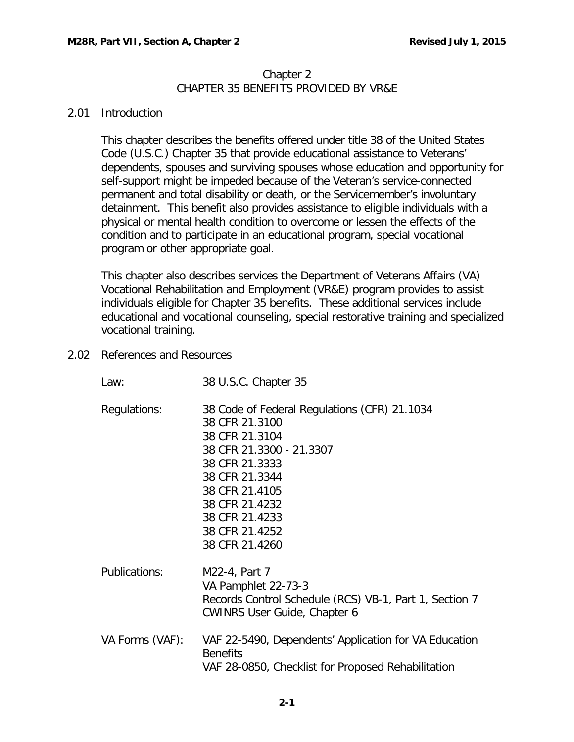#### Chapter 2 CHAPTER 35 BENEFITS PROVIDED BY VR&E

### <span id="page-1-0"></span>2.01 Introduction

This chapter describes the benefits offered under title [38 of the United](http://assembler.law.cornell.edu/uscode/html/uscode38/usc_sup_01_38_10_III_20_35.html) States [Code](http://assembler.law.cornell.edu/uscode/html/uscode38/usc_sup_01_38_10_III_20_35.html) [\(U.S.C.\)](http://assembler.law.cornell.edu/uscode/html/uscode38/usc_sup_01_38_10_III_20_35.html) Chapter 35 that provide educational assistance to Veterans' dependents, spouses and surviving spouses whose education and opportunity for self-support might be impeded because of the Veteran's service-connected permanent and total disability or death, or the Servicemember's involuntary detainment. This benefit also provides assistance to eligible individuals with a physical or mental health condition to overcome or lessen the effects of the condition and to participate in an educational program, special vocational program or other appropriate goal.

This chapter also describes services the Department of Veterans Affairs (VA) Vocational Rehabilitation and Employment (VR&E) program provides to assist individuals eligible for Chapter 35 benefits. These additional services include educational and vocational counseling, special restorative training and specialized vocational training.

<span id="page-1-1"></span>2.02 References and Resources

| Law:            | 38 U.S.C. Chapter 35                                                                                                                                                                                                                       |
|-----------------|--------------------------------------------------------------------------------------------------------------------------------------------------------------------------------------------------------------------------------------------|
| Regulations:    | 38 Code of Federal Regulations (CFR) 21.1034<br>38 CFR 21.3100<br>38 CFR 21.3104<br>38 CFR 21.3300 - 21.3307<br>38 CFR 21.3333<br>38 CFR 21.3344<br>38 CFR 21.4105<br>38 CFR 21.4232<br>38 CFR 21.4233<br>38 CFR 21.4252<br>38 CFR 21.4260 |
| Publications:   | M22-4, Part 7<br>VA Pamphlet 22-73-3<br>Records Control Schedule (RCS) VB-1, Part 1, Section 7<br><b>CWINRS User Guide, Chapter 6</b>                                                                                                      |
| VA Forms (VAF): | VAF 22-5490, Dependents' Application for VA Education<br><b>Benefits</b><br>VAF 28-0850, Checklist for Proposed Rehabilitation                                                                                                             |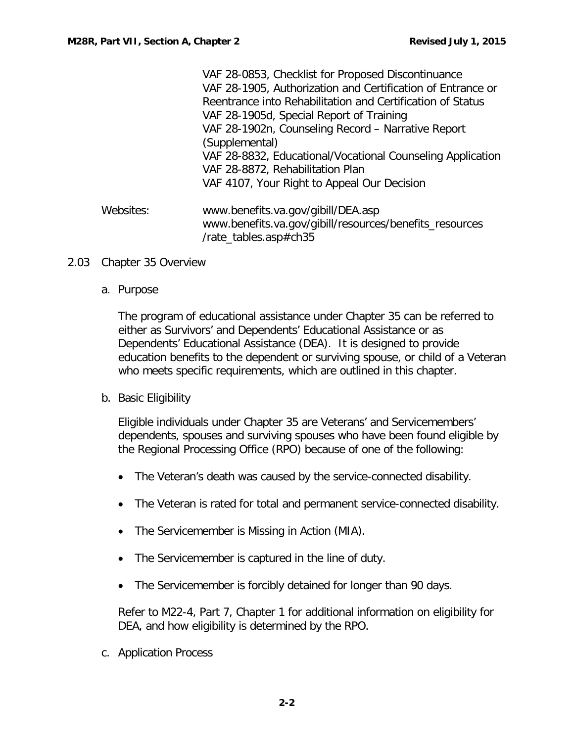|           | VAF 28-0853, Checklist for Proposed Discontinuance          |
|-----------|-------------------------------------------------------------|
|           | VAF 28-1905, Authorization and Certification of Entrance or |
|           | Reentrance into Rehabilitation and Certification of Status  |
|           | VAF 28-1905d, Special Report of Training                    |
|           | VAF 28-1902n, Counseling Record - Narrative Report          |
|           | (Supplemental)                                              |
|           | VAF 28-8832, Educational/Vocational Counseling Application  |
|           | VAF 28-8872, Rehabilitation Plan                            |
|           | VAF 4107, Your Right to Appeal Our Decision                 |
| Websites: | www.benefits.va.gov/gibill/DEA.asp                          |
|           | www.benefits.va.gov/gibill/resources/benefits_resources     |
|           | /rate_tables.asp#ch35                                       |

#### <span id="page-2-1"></span><span id="page-2-0"></span>2.03 Chapter 35 Overview

a. Purpose

The program of educational assistance under Chapter 35 can be referred to either as Survivors' and Dependents' Educational Assistance or as Dependents' Educational Assistance (DEA). It is designed to provide education benefits to the dependent or surviving spouse, or child of a Veteran who meets specific requirements, which are outlined in this chapter.

## <span id="page-2-2"></span>b. Basic Eligibility

Eligible individuals under Chapter 35 are Veterans' and Servicemembers' dependents, spouses and surviving spouses who have been found eligible by the Regional Processing Office (RPO) because of one of the following:

- The Veteran's death was caused by the service-connected disability.
- The Veteran is rated for total and permanent service-connected disability.
- The Servicemember is Missing in Action (MIA).
- The Servicemember is captured in the line of duty.
- The Servicemember is forcibly detained for longer than 90 days.

Refer to M22-4, Part 7, Chapter 1 for additional information on eligibility for DEA, and how eligibility is determined by the RPO.

<span id="page-2-3"></span>c. Application Process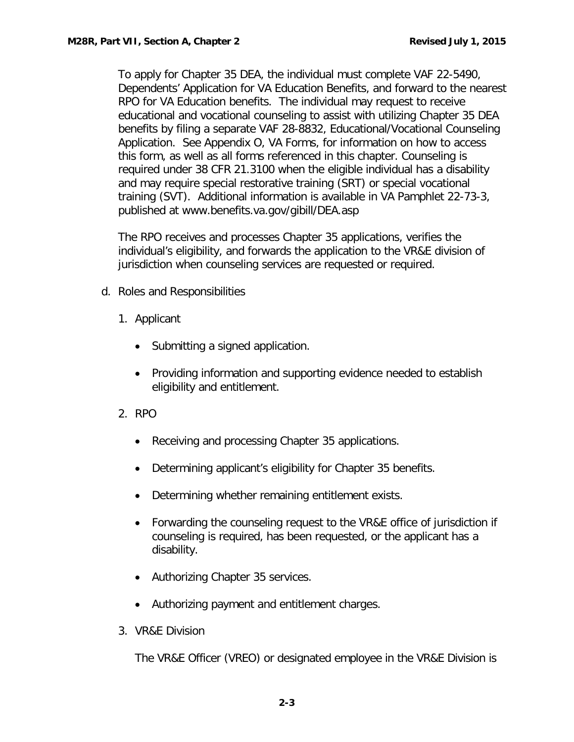To apply for Chapter 35 DEA, the individual must complete VAF 22-5490, Dependents' Application for VA Education Benefits, and forward to the nearest RPO for VA Education benefits. The individual may request to receive educational and vocational counseling to assist with utilizing Chapter 35 DEA benefits by filing a separate VAF 28-8832, Educational/Vocational Counseling Application. See Appendix O, VA Forms, for information on how to access this form, as well as all forms referenced in this chapter. Counseling is required under 38 CFR 21.3100 when the eligible individual has a disability and may require special restorative training (SRT) or special vocational training (SVT). Additional information is available in VA Pamphlet 22-73-3, published at www.benefits.va.gov/gibill/DEA.asp

The RPO receives and processes Chapter 35 applications, verifies the individual's eligibility, and forwards the application to the VR&E division of jurisdiction when counseling services are requested or required.

- <span id="page-3-0"></span>d. Roles and Responsibilities
	- 1. Applicant
		- Submitting a signed application.
		- Providing information and supporting evidence needed to establish eligibility and entitlement.
	- 2. RPO
		- Receiving and processing Chapter 35 applications.
		- Determining applicant's eligibility for Chapter 35 benefits.
		- Determining whether remaining entitlement exists.
		- Forwarding the counseling request to the VR&E office of jurisdiction if counseling is required, has been requested, or the applicant has a disability.
		- Authorizing Chapter 35 services.
		- Authorizing payment and entitlement charges.
	- 3. VR&E Division

The VR&E Officer (VREO) or designated employee in the VR&E Division is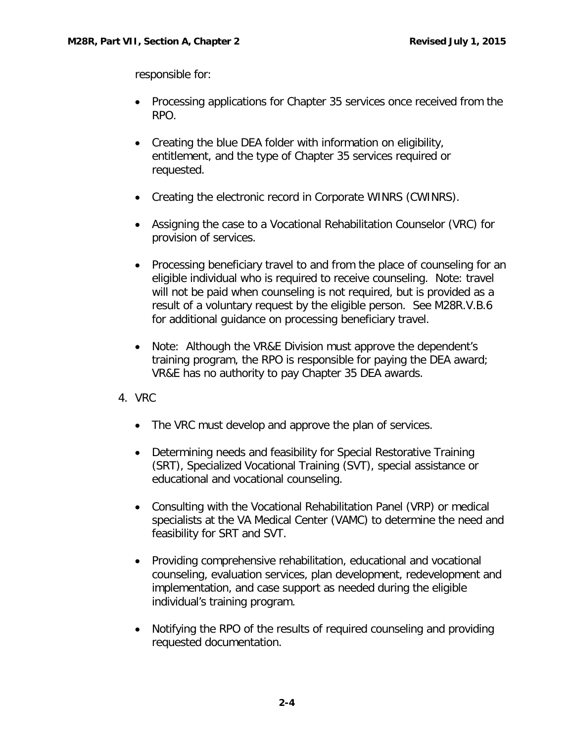responsible for:

- Processing applications for Chapter 35 services once received from the RPO.
- Creating the blue DEA folder with information on eligibility, entitlement, and the type of Chapter 35 services required or requested.
- Creating the electronic record in Corporate WINRS (CWINRS).
- Assigning the case to a Vocational Rehabilitation Counselor (VRC) for provision of services.
- Processing beneficiary travel to and from the place of counseling for an eligible individual who is required to receive counseling. Note: travel will not be paid when counseling is not required, but is provided as a result of a voluntary request by the eligible person. See M28R.V.B.6 for additional guidance on processing beneficiary travel.
- Note: Although the VR&E Division must approve the dependent's training program, the RPO is responsible for paying the DEA award; VR&E has no authority to pay Chapter 35 DEA awards.
- 4. VRC
	- The VRC must develop and approve the plan of services.
	- Determining needs and feasibility for Special Restorative Training (SRT), Specialized Vocational Training (SVT), special assistance or educational and vocational counseling.
	- Consulting with the Vocational Rehabilitation Panel (VRP) or medical specialists at the VA Medical Center (VAMC) to determine the need and feasibility for SRT and SVT.
	- Providing comprehensive rehabilitation, educational and vocational counseling, evaluation services, plan development, redevelopment and implementation, and case support as needed during the eligible individual's training program.
	- Notifying the RPO of the results of required counseling and providing requested documentation.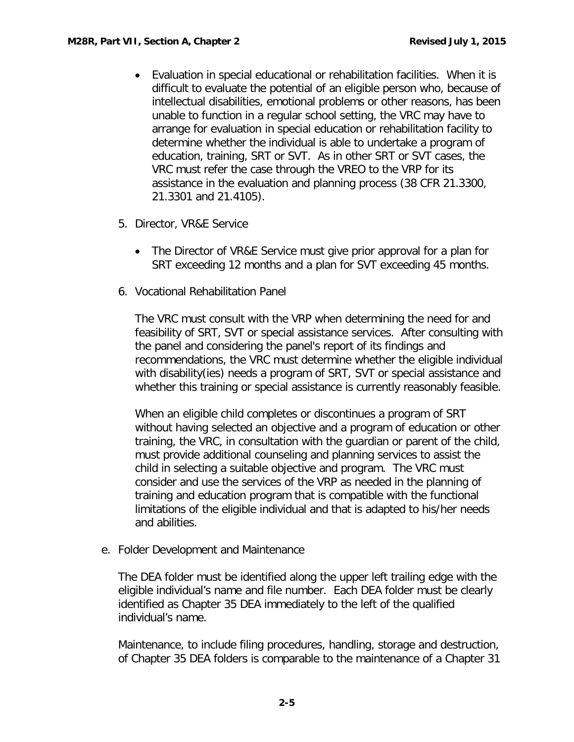- Evaluation in special educational or rehabilitation facilities. When it is difficult to evaluate the potential of an eligible person who, because of intellectual disabilities, emotional problems or other reasons, has been unable to function in a regular school setting, the VRC may have to arrange for evaluation in special education or rehabilitation facility to determine whether the individual is able to undertake a program of education, training, SRT or SVT. As in other SRT or SVT cases, the VRC must refer the case through the VREO to the VRP for its assistance in the evaluation and planning process (38 CFR 21.3300, 21.3301 and 21.4105).
- 5. Director, VR&E Service
	- The Director of VR&E Service must give prior approval for a plan for SRT exceeding 12 months and a plan for SVT exceeding 45 months.
- 6. Vocational Rehabilitation Panel

The VRC must consult with the VRP when determining the need for and feasibility of SRT, SVT or special assistance services. After consulting with the panel and considering the panel's report of its findings and recommendations, the VRC must determine whether the eligible individual with disability(ies) needs a program of SRT, SVT or special assistance and whether this training or special assistance is currently reasonably feasible.

When an eligible child completes or discontinues a program of SRT without having selected an objective and a program of education or other training, the VRC, in consultation with the guardian or parent of the child, must provide additional counseling and planning services to assist the child in selecting a suitable objective and program. The VRC must consider and use the services of the VRP as needed in the planning of training and education program that is compatible with the functional limitations of the eligible individual and that is adapted to his/her needs and abilities.

<span id="page-5-0"></span>e. Folder Development and Maintenance

The DEA folder must be identified along the upper left trailing edge with the eligible individual's name and file number. Each DEA folder must be clearly identified as Chapter 35 DEA immediately to the left of the qualified individual's name.

Maintenance, to include filing procedures, handling, storage and destruction, of Chapter 35 DEA folders is comparable to the maintenance of a Chapter 31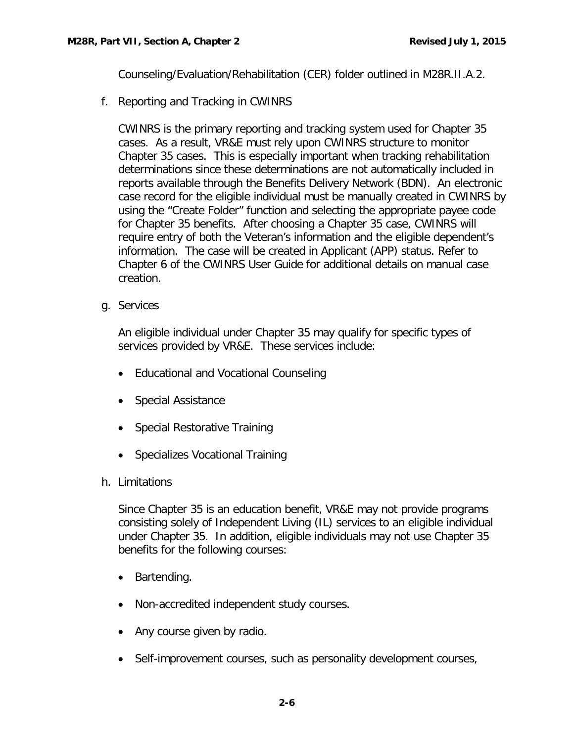Counseling/Evaluation/Rehabilitation (CER) folder outlined in M28R.II.A.2.

<span id="page-6-0"></span>f. Reporting and Tracking in CWINRS

CWINRS is the primary reporting and tracking system used for Chapter 35 cases. As a result, VR&E must rely upon CWINRS structure to monitor Chapter 35 cases. This is especially important when tracking rehabilitation determinations since these determinations are not automatically included in reports available through the Benefits Delivery Network (BDN). An electronic case record for the eligible individual must be manually created in CWINRS by using the "Create Folder" function and selecting the appropriate payee code for Chapter 35 benefits. After choosing a Chapter 35 case, CWINRS will require entry of both the Veteran's information and the eligible dependent's information. The case will be created in Applicant (APP) status. Refer to Chapter 6 of the CWINRS User Guide for additional details on manual case creation.

<span id="page-6-1"></span>g. Services

An eligible individual under Chapter 35 may qualify for specific types of services provided by VR&E. These services include:

- Educational and Vocational Counseling
- Special Assistance
- Special Restorative Training
- Specializes Vocational Training
- <span id="page-6-2"></span>h. Limitations

Since Chapter 35 is an education benefit, VR&E may not provide programs consisting solely of Independent Living (IL) services to an eligible individual under Chapter 35. In addition, eligible individuals may not use Chapter 35 benefits for the following courses:

- Bartending.
- Non-accredited independent study courses.
- Any course given by radio.
- Self-improvement courses, such as personality development courses,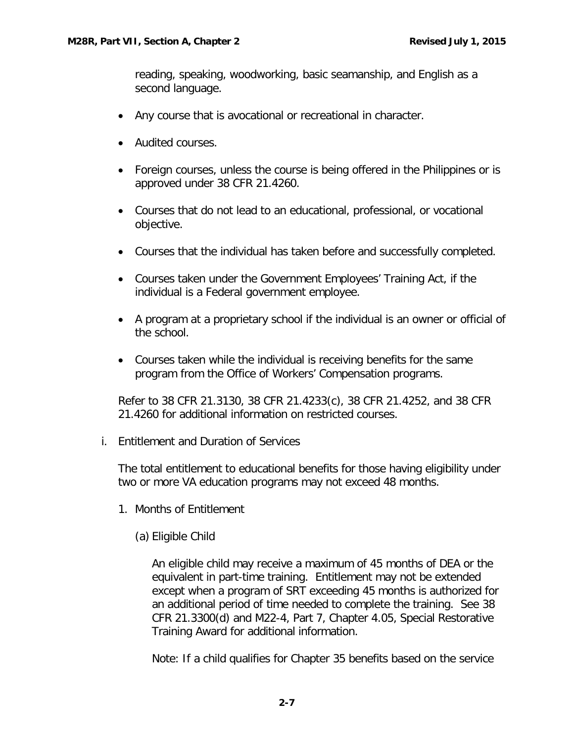reading, speaking, woodworking, basic seamanship, and English as a second language.

- Any course that is avocational or recreational in character.
- Audited courses.
- Foreign courses, unless the course is being offered in the Philippines or is approved under 38 CFR 21.4260.
- Courses that do not lead to an educational, professional, or vocational objective.
- Courses that the individual has taken before and successfully completed.
- Courses taken under the Government Employees' Training Act, if the individual is a Federal government employee.
- A program at a proprietary school if the individual is an owner or official of the school.
- Courses taken while the individual is receiving benefits for the same program from the Office of Workers' Compensation programs.

Refer to 38 CFR 21.3130, 38 CFR 21.4233(c), 38 CFR 21.4252, and 38 CFR 21.4260 for additional information on restricted courses.

<span id="page-7-0"></span>i. Entitlement and Duration of Services

The total entitlement to educational benefits for those having eligibility under two or more VA education programs may not exceed 48 months.

- 1. Months of Entitlement
	- (a) Eligible Child

An eligible child may receive a maximum of 45 months of DEA or the equivalent in part-time training. Entitlement may not be extended except when a program of SRT exceeding 45 months is authorized for an additional period of time needed to complete the training. See 38 CFR 21.3300(d) and M22-4, Part 7, Chapter 4.05, Special Restorative Training Award for additional information.

Note: If a child qualifies for Chapter 35 benefits based on the service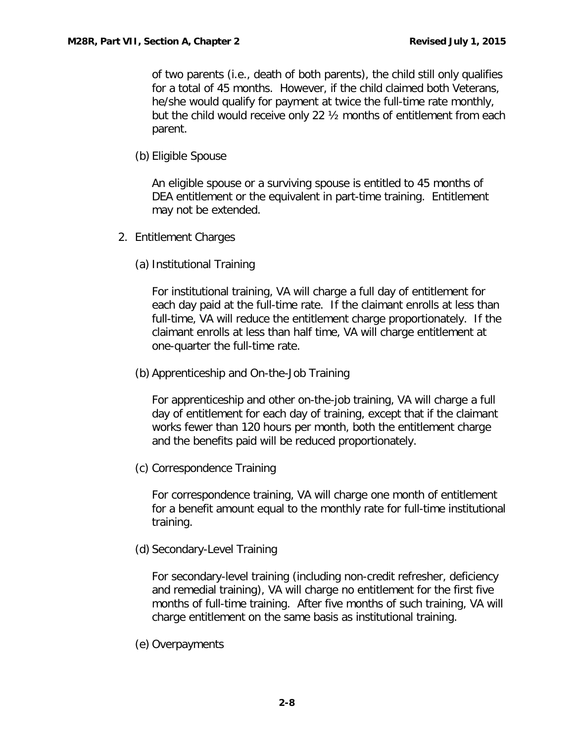of two parents (i.e., death of both parents), the child still only qualifies for a total of 45 months. However, if the child claimed both Veterans, he/she would qualify for payment at twice the full-time rate monthly, but the child would receive only 22 ½ months of entitlement from each parent.

(b) Eligible Spouse

An eligible spouse or a surviving spouse is entitled to 45 months of DEA entitlement or the equivalent in part-time training. Entitlement may not be extended.

- 2. Entitlement Charges
	- (a) Institutional Training

For institutional training, VA will charge a full day of entitlement for each day paid at the full-time rate. If the claimant enrolls at less than full-time, VA will reduce the entitlement charge proportionately. If the claimant enrolls at less than half time, VA will charge entitlement at one-quarter the full-time rate.

(b) Apprenticeship and On-the-Job Training

For apprenticeship and other on-the-job training, VA will charge a full day of entitlement for each day of training, except that if the claimant works fewer than 120 hours per month, both the entitlement charge and the benefits paid will be reduced proportionately.

(c) Correspondence Training

For correspondence training, VA will charge one month of entitlement for a benefit amount equal to the monthly rate for full-time institutional training.

(d) Secondary-Level Training

For secondary-level training (including non-credit refresher, deficiency and remedial training), VA will charge no entitlement for the first five months of full-time training. After five months of such training, VA will charge entitlement on the same basis as institutional training.

(e) Overpayments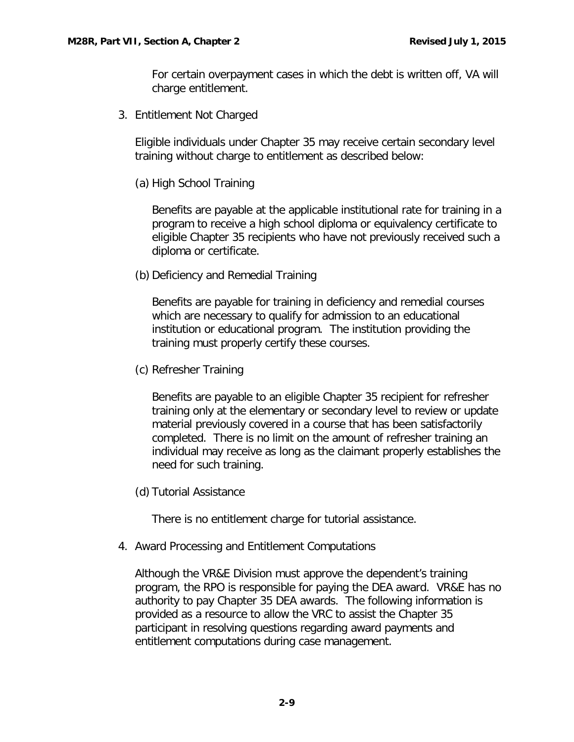For certain overpayment cases in which the debt is written off, VA will charge entitlement.

3. Entitlement Not Charged

Eligible individuals under Chapter 35 may receive certain secondary level training without charge to entitlement as described below:

(a) High School Training

Benefits are payable at the applicable institutional rate for training in a program to receive a high school diploma or equivalency certificate to eligible Chapter 35 recipients who have not previously received such a diploma or certificate.

(b) Deficiency and Remedial Training

Benefits are payable for training in deficiency and remedial courses which are necessary to qualify for admission to an educational institution or educational program. The institution providing the training must properly certify these courses.

(c) Refresher Training

Benefits are payable to an eligible Chapter 35 recipient for refresher training only at the elementary or secondary level to review or update material previously covered in a course that has been satisfactorily completed. There is no limit on the amount of refresher training an individual may receive as long as the claimant properly establishes the need for such training.

(d) Tutorial Assistance

There is no entitlement charge for tutorial assistance.

4. Award Processing and Entitlement Computations

Although the VR&E Division must approve the dependent's training program, the RPO is responsible for paying the DEA award. VR&E has no authority to pay Chapter 35 DEA awards. The following information is provided as a resource to allow the VRC to assist the Chapter 35 participant in resolving questions regarding award payments and entitlement computations during case management.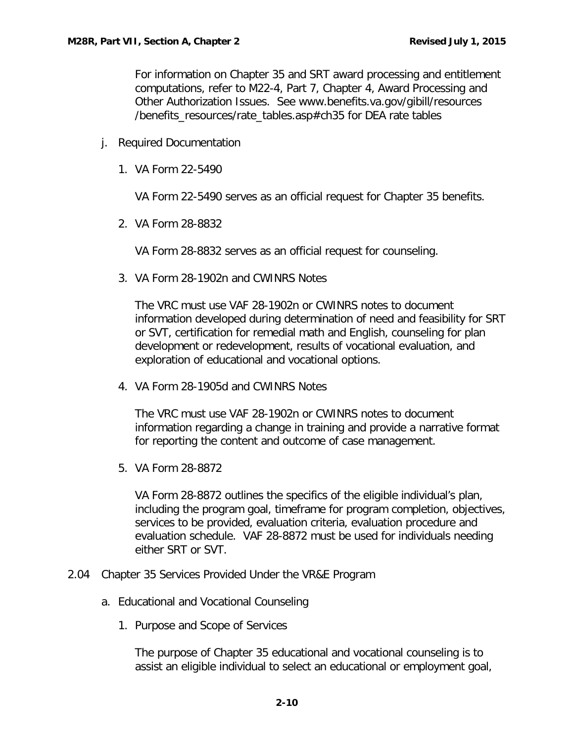For information on Chapter 35 and SRT award processing and entitlement computations, refer to M22-4, Part 7, Chapter 4, Award Processing and Other Authorization Issues. See www.benefits.va.gov/gibill/resources /benefits\_resources/rate\_tables.asp#ch35 for DEA rate tables

- <span id="page-10-0"></span>j. Required Documentation
	- 1. VA Form 22-5490

VA Form 22-5490 serves as an official request for Chapter 35 benefits.

2. VA Form 28-8832

VA Form 28-8832 serves as an official request for counseling.

3. VA Form 28-1902n and CWINRS Notes

The VRC must use VAF 28-1902n or CWINRS notes to document information developed during determination of need and feasibility for SRT or SVT, certification for remedial math and English, counseling for plan development or redevelopment, results of vocational evaluation, and exploration of educational and vocational options.

4. VA Form 28-1905d and CWINRS Notes

The VRC must use VAF 28-1902n or CWINRS notes to document information regarding a change in training and provide a narrative format for reporting the content and outcome of case management.

5. VA Form 28-8872

VA Form 28-8872 outlines the specifics of the eligible individual's plan, including the program goal, timeframe for program completion, objectives, services to be provided, evaluation criteria, evaluation procedure and evaluation schedule. VAF 28-8872 must be used for individuals needing either SRT or SVT.

- <span id="page-10-2"></span><span id="page-10-1"></span>2.04 Chapter 35 Services Provided Under the VR&E Program
	- a. Educational and Vocational Counseling
		- 1. Purpose and Scope of Services

The purpose of Chapter 35 educational and vocational counseling is to assist an eligible individual to select an educational or employment goal,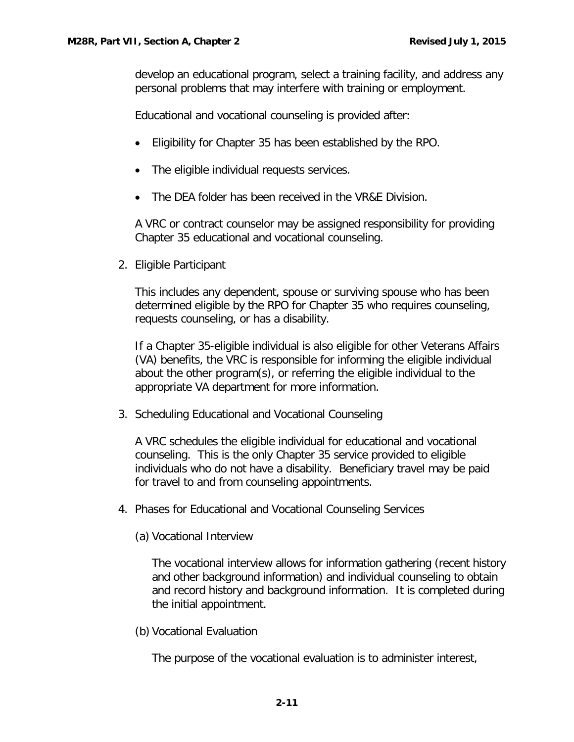develop an educational program, select a training facility, and address any personal problems that may interfere with training or employment.

Educational and vocational counseling is provided after:

- Eligibility for Chapter 35 has been established by the RPO.
- The eligible individual requests services.
- The DEA folder has been received in the VR&E Division.

A VRC or contract counselor may be assigned responsibility for providing Chapter 35 educational and vocational counseling.

2. Eligible Participant

This includes any dependent, spouse or surviving spouse who has been determined eligible by the RPO for Chapter 35 who requires counseling, requests counseling, or has a disability.

If a Chapter 35-eligible individual is also eligible for other Veterans Affairs (VA) benefits, the VRC is responsible for informing the eligible individual about the other program(s), or referring the eligible individual to the appropriate VA department for more information.

3. Scheduling Educational and Vocational Counseling

A VRC schedules the eligible individual for educational and vocational counseling. This is the only Chapter 35 service provided to eligible individuals who do not have a disability. Beneficiary travel may be paid for travel to and from counseling appointments.

4. Phases for Educational and Vocational Counseling Services

(a) Vocational Interview

The vocational interview allows for information gathering (recent history and other background information) and individual counseling to obtain and record history and background information. It is completed during the initial appointment.

(b) Vocational Evaluation

The purpose of the vocational evaluation is to administer interest,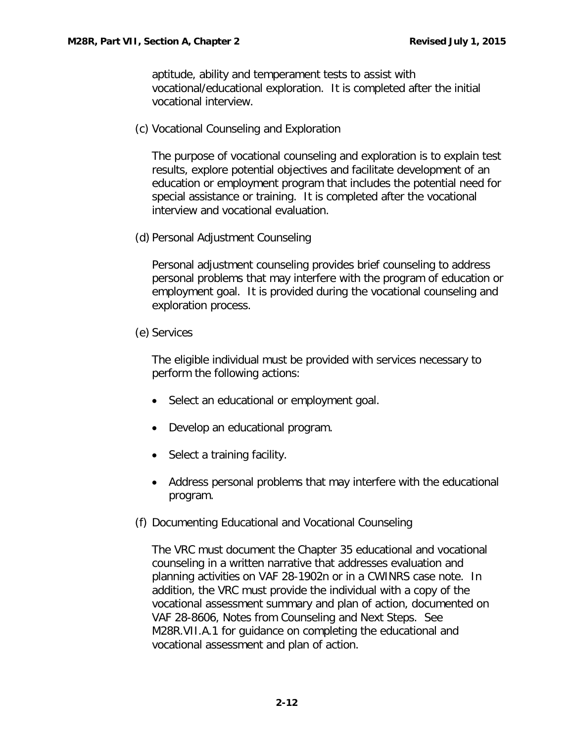aptitude, ability and temperament tests to assist with vocational/educational exploration. It is completed after the initial vocational interview.

(c) Vocational Counseling and Exploration

The purpose of vocational counseling and exploration is to explain test results, explore potential objectives and facilitate development of an education or employment program that includes the potential need for special assistance or training. It is completed after the vocational interview and vocational evaluation.

(d) Personal Adjustment Counseling

Personal adjustment counseling provides brief counseling to address personal problems that may interfere with the program of education or employment goal. It is provided during the vocational counseling and exploration process.

(e) Services

The eligible individual must be provided with services necessary to perform the following actions:

- Select an educational or employment goal.
- Develop an educational program.
- Select a training facility.
- Address personal problems that may interfere with the educational program.
- (f) Documenting Educational and Vocational Counseling

The VRC must document the Chapter 35 educational and vocational counseling in a written narrative that addresses evaluation and planning activities on VAF 28-1902n or in a CWINRS case note. In addition, the VRC must provide the individual with a copy of the vocational assessment summary and plan of action, documented on VAF 28-8606, Notes from Counseling and Next Steps. See M28R.VII.A.1 for guidance on completing the educational and vocational assessment and plan of action.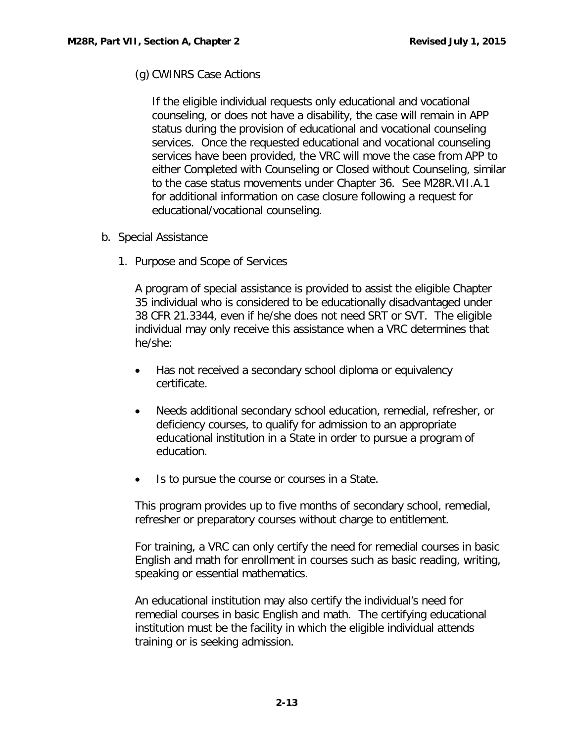(g) CWINRS Case Actions

If the eligible individual requests only educational and vocational counseling, or does not have a disability, the case will remain in APP status during the provision of educational and vocational counseling services. Once the requested educational and vocational counseling services have been provided, the VRC will move the case from APP to either Completed with Counseling or Closed without Counseling, similar to the case status movements under Chapter 36. See M28R.VII.A.1 for additional information on case closure following a request for educational/vocational counseling.

- <span id="page-13-0"></span>b. Special Assistance
	- 1. Purpose and Scope of Services

A program of special assistance is provided to assist the eligible Chapter 35 individual who is considered to be educationally disadvantaged under 38 CFR 21.3344, even if he/she does not need SRT or SVT. The eligible individual may only receive this assistance when a VRC determines that he/she:

- Has not received a secondary school diploma or equivalency certificate.
- Needs additional secondary school education, remedial, refresher, or deficiency courses, to qualify for admission to an appropriate educational institution in a State in order to pursue a program of education.
- Is to pursue the course or courses in a State.

This program provides up to five months of secondary school, remedial, refresher or preparatory courses without charge to entitlement.

For training, a VRC can only certify the need for remedial courses in basic English and math for enrollment in courses such as basic reading, writing, speaking or essential mathematics.

An educational institution may also certify the individual's need for remedial courses in basic English and math. The certifying educational institution must be the facility in which the eligible individual attends training or is seeking admission.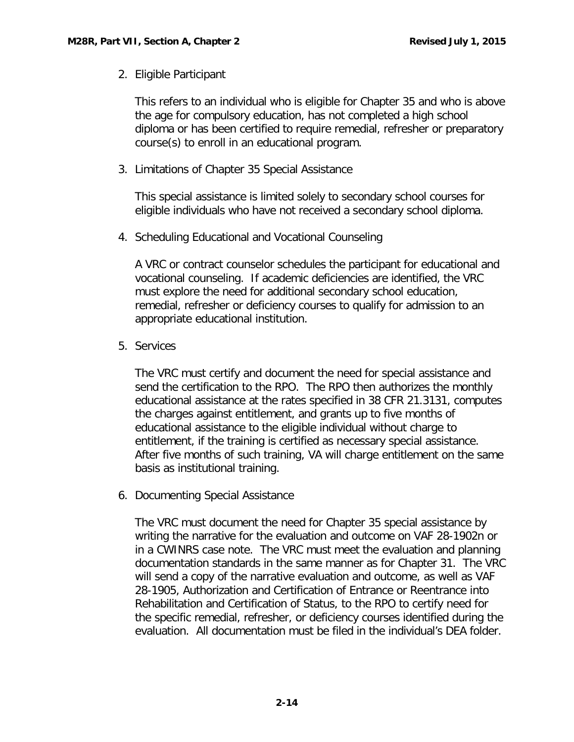2. Eligible Participant

This refers to an individual who is eligible for Chapter 35 and who is above the age for compulsory education, has not completed a high school diploma or has been certified to require remedial, refresher or preparatory course(s) to enroll in an educational program.

3. Limitations of Chapter 35 Special Assistance

This special assistance is limited solely to secondary school courses for eligible individuals who have not received a secondary school diploma.

4. Scheduling Educational and Vocational Counseling

A VRC or contract counselor schedules the participant for educational and vocational counseling. If academic deficiencies are identified, the VRC must explore the need for additional secondary school education, remedial, refresher or deficiency courses to qualify for admission to an appropriate educational institution.

5. Services

The VRC must certify and document the need for special assistance and send the certification to the RPO. The RPO then authorizes the monthly educational assistance at the rates specified in 38 CFR 21.3131, computes the charges against entitlement, and grants up to five months of educational assistance to the eligible individual without charge to entitlement, if the training is certified as necessary special assistance. After five months of such training, VA will charge entitlement on the same basis as institutional training.

6. Documenting Special Assistance

The VRC must document the need for Chapter 35 special assistance by writing the narrative for the evaluation and outcome on VAF 28-1902n or in a CWINRS case note. The VRC must meet the evaluation and planning documentation standards in the same manner as for Chapter 31. The VRC will send a copy of the narrative evaluation and outcome, as well as VAF 28-1905, Authorization and Certification of Entrance or Reentrance into Rehabilitation and Certification of Status, to the RPO to certify need for the specific remedial, refresher, or deficiency courses identified during the evaluation. All documentation must be filed in the individual's DEA folder.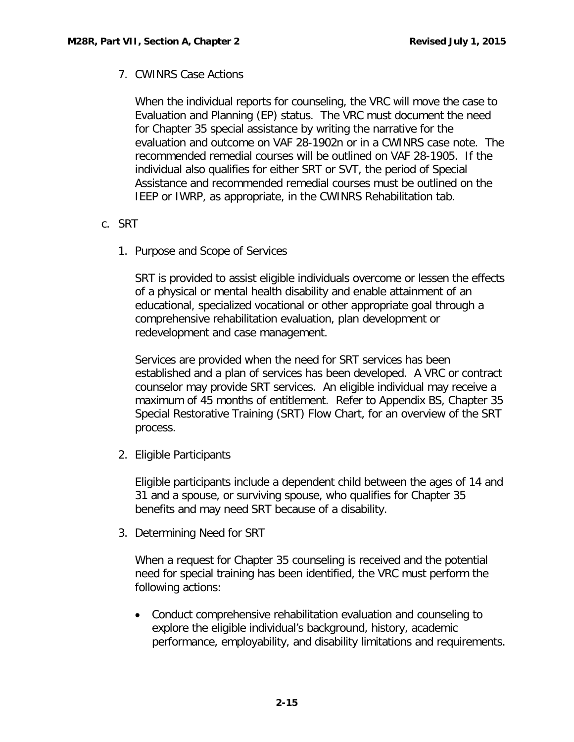# 7. CWINRS Case Actions

When the individual reports for counseling, the VRC will move the case to Evaluation and Planning (EP) status. The VRC must document the need for Chapter 35 special assistance by writing the narrative for the evaluation and outcome on VAF 28-1902n or in a CWINRS case note. The recommended remedial courses will be outlined on VAF 28-1905. If the individual also qualifies for either SRT or SVT, the period of Special Assistance and recommended remedial courses must be outlined on the IEEP or IWRP, as appropriate, in the CWINRS Rehabilitation tab.

- <span id="page-15-0"></span>c. SRT
	- 1. Purpose and Scope of Services

SRT is provided to assist eligible individuals overcome or lessen the effects of a physical or mental health disability and enable attainment of an educational, specialized vocational or other appropriate goal through a comprehensive rehabilitation evaluation, plan development or redevelopment and case management.

Services are provided when the need for SRT services has been established and a plan of services has been developed. A VRC or contract counselor may provide SRT services. An eligible individual may receive a maximum of 45 months of entitlement. Refer to Appendix BS, Chapter 35 Special Restorative Training (SRT) Flow Chart, for an overview of the SRT process.

2. Eligible Participants

Eligible participants include a dependent child between the ages of 14 and 31 and a spouse, or surviving spouse, who qualifies for Chapter 35 benefits and may need SRT because of a disability.

3. Determining Need for SRT

When a request for Chapter 35 counseling is received and the potential need for special training has been identified, the VRC must perform the following actions:

• Conduct comprehensive rehabilitation evaluation and counseling to explore the eligible individual's background, history, academic performance, employability, and disability limitations and requirements.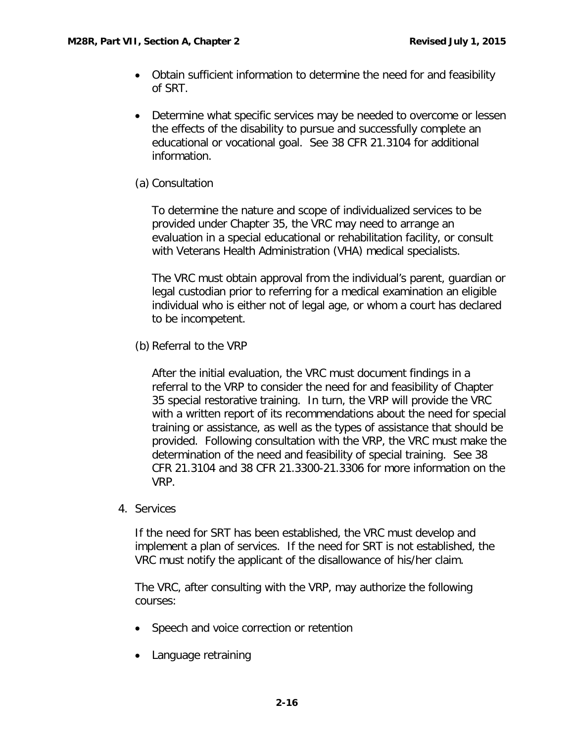- Obtain sufficient information to determine the need for and feasibility of SRT.
- Determine what specific services may be needed to overcome or lessen the effects of the disability to pursue and successfully complete an educational or vocational goal. See 38 CFR 21.3104 for additional information.

# (a) Consultation

To determine the nature and scope of individualized services to be provided under Chapter 35, the VRC may need to arrange an evaluation in a special educational or rehabilitation facility, or consult with Veterans Health Administration (VHA) medical specialists.

The VRC must obtain approval from the individual's parent, guardian or legal custodian prior to referring for a medical examination an eligible individual who is either not of legal age, or whom a court has declared to be incompetent.

(b) Referral to the VRP

After the initial evaluation, the VRC must document findings in a referral to the VRP to consider the need for and feasibility of Chapter 35 special restorative training. In turn, the VRP will provide the VRC with a written report of its recommendations about the need for special training or assistance, as well as the types of assistance that should be provided. Following consultation with the VRP, the VRC must make the determination of the need and feasibility of special training. See 38 CFR 21.3104 and 38 CFR 21.3300-21.3306 for more information on the VRP.

4. Services

If the need for SRT has been established, the VRC must develop and implement a plan of services. If the need for SRT is not established, the VRC must notify the applicant of the disallowance of his/her claim.

The VRC, after consulting with the VRP, may authorize the following courses:

- Speech and voice correction or retention
- Language retraining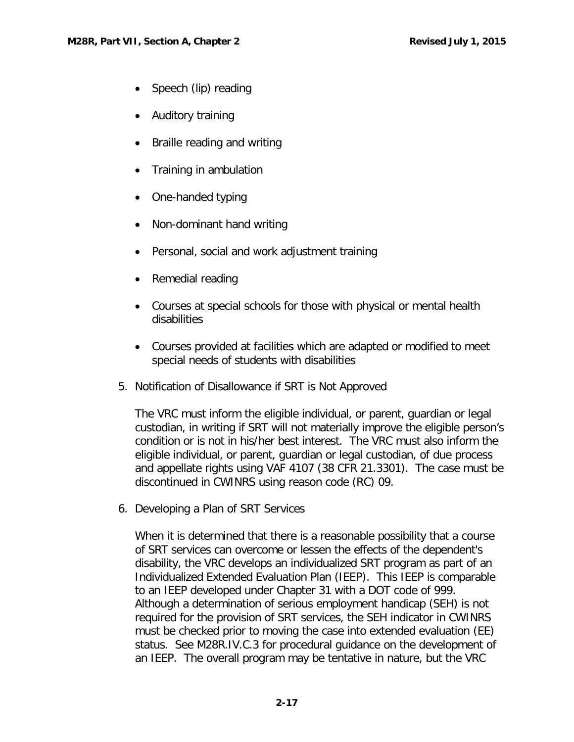- Speech (lip) reading
- Auditory training
- Braille reading and writing
- Training in ambulation
- One-handed typing
- Non-dominant hand writing
- Personal, social and work adjustment training
- Remedial reading
- Courses at special schools for those with physical or mental health disabilities
- Courses provided at facilities which are adapted or modified to meet special needs of students with disabilities
- 5. Notification of Disallowance if SRT is Not Approved

The VRC must inform the eligible individual, or parent, guardian or legal custodian, in writing if SRT will not materially improve the eligible person's condition or is not in his/her best interest. The VRC must also inform the eligible individual, or parent, guardian or legal custodian, of due process and appellate rights using VAF 4107 (38 CFR 21.3301). The case must be discontinued in CWINRS using reason code (RC) 09.

6. Developing a Plan of SRT Services

When it is determined that there is a reasonable possibility that a course of SRT services can overcome or lessen the effects of the dependent's disability, the VRC develops an individualized SRT program as part of an Individualized Extended Evaluation Plan (IEEP). This IEEP is comparable to an IEEP developed under Chapter 31 with a DOT code of 999. Although a determination of serious employment handicap (SEH) is not required for the provision of SRT services, the SEH indicator in CWINRS must be checked prior to moving the case into extended evaluation (EE) status. See M28R.IV.C.3 for procedural guidance on the development of an IEEP. The overall program may be tentative in nature, but the VRC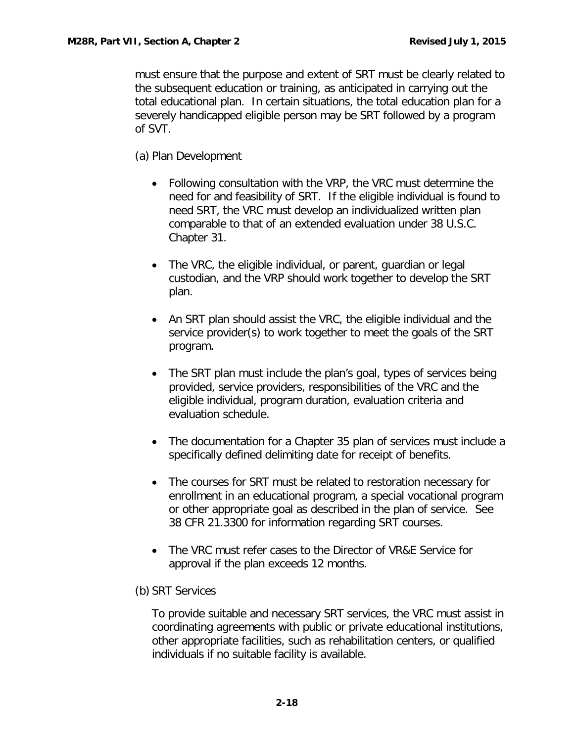must ensure that the purpose and extent of SRT must be clearly related to the subsequent education or training, as anticipated in carrying out the total educational plan. In certain situations, the total education plan for a severely handicapped eligible person may be SRT followed by a program of SVT.

(a) Plan Development

- Following consultation with the VRP, the VRC must determine the need for and feasibility of SRT. If the eligible individual is found to need SRT, the VRC must develop an individualized written plan comparable to that of an extended evaluation under 38 U.S.C. Chapter 31.
- The VRC, the eligible individual, or parent, guardian or legal custodian, and the VRP should work together to develop the SRT plan.
- An SRT plan should assist the VRC, the eligible individual and the service provider(s) to work together to meet the goals of the SRT program.
- The SRT plan must include the plan's goal, types of services being provided, service providers, responsibilities of the VRC and the eligible individual, program duration, evaluation criteria and evaluation schedule.
- The documentation for a Chapter 35 plan of services must include a specifically defined delimiting date for receipt of benefits.
- The courses for SRT must be related to restoration necessary for enrollment in an educational program, a special vocational program or other appropriate goal as described in the plan of service. See 38 CFR 21.3300 for information regarding SRT courses.
- The VRC must refer cases to the Director of VR&E Service for approval if the plan exceeds 12 months.
- (b) SRT Services

To provide suitable and necessary SRT services, the VRC must assist in coordinating agreements with public or private educational institutions, other appropriate facilities, such as rehabilitation centers, or qualified individuals if no suitable facility is available.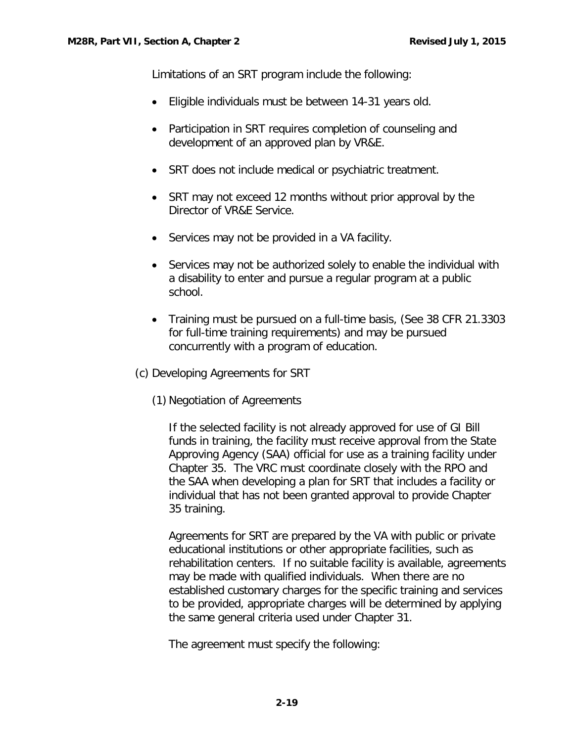Limitations of an SRT program include the following:

- Eligible individuals must be between 14-31 years old.
- Participation in SRT requires completion of counseling and development of an approved plan by VR&E.
- SRT does not include medical or psychiatric treatment.
- SRT may not exceed 12 months without prior approval by the Director of VR&E Service.
- Services may not be provided in a VA facility.
- Services may not be authorized solely to enable the individual with a disability to enter and pursue a regular program at a public school.
- Training must be pursued on a full-time basis, (See 38 CFR 21.3303) for full-time training requirements) and may be pursued concurrently with a program of education.
- (c) Developing Agreements for SRT
	- (1) Negotiation of Agreements

If the selected facility is not already approved for use of GI Bill funds in training, the facility must receive approval from the State Approving Agency (SAA) official for use as a training facility under Chapter 35. The VRC must coordinate closely with the RPO and the SAA when developing a plan for SRT that includes a facility or individual that has not been granted approval to provide Chapter 35 training.

Agreements for SRT are prepared by the VA with public or private educational institutions or other appropriate facilities, such as rehabilitation centers. If no suitable facility is available, agreements may be made with qualified individuals. When there are no established customary charges for the specific training and services to be provided, appropriate charges will be determined by applying the same general criteria used under Chapter 31.

The agreement must specify the following: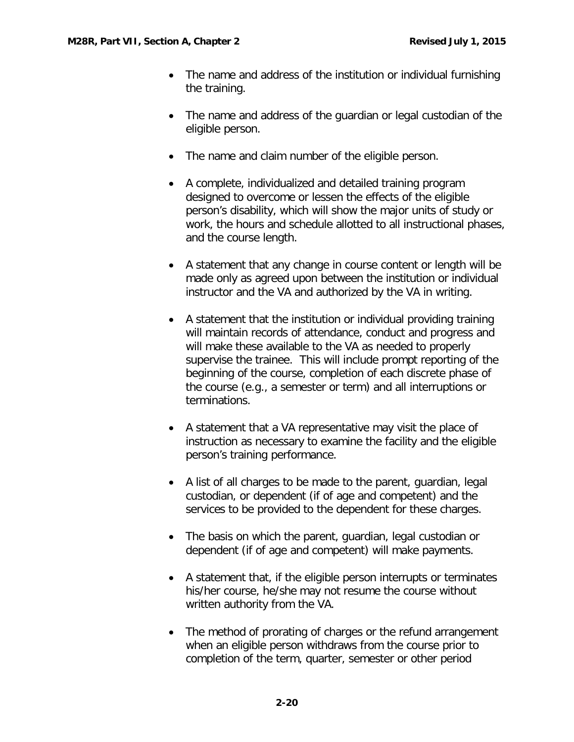- The name and address of the institution or individual furnishing the training.
- The name and address of the guardian or legal custodian of the eligible person.
- The name and claim number of the eligible person.
- A complete, individualized and detailed training program designed to overcome or lessen the effects of the eligible person's disability, which will show the major units of study or work, the hours and schedule allotted to all instructional phases, and the course length.
- A statement that any change in course content or length will be made only as agreed upon between the institution or individual instructor and the VA and authorized by the VA in writing.
- A statement that the institution or individual providing training will maintain records of attendance, conduct and progress and will make these available to the VA as needed to properly supervise the trainee. This will include prompt reporting of the beginning of the course, completion of each discrete phase of the course (e.g., a semester or term) and all interruptions or terminations.
- A statement that a VA representative may visit the place of instruction as necessary to examine the facility and the eligible person's training performance.
- A list of all charges to be made to the parent, guardian, legal custodian, or dependent (if of age and competent) and the services to be provided to the dependent for these charges.
- The basis on which the parent, guardian, legal custodian or dependent (if of age and competent) will make payments.
- A statement that, if the eligible person interrupts or terminates his/her course, he/she may not resume the course without written authority from the VA.
- The method of prorating of charges or the refund arrangement when an eligible person withdraws from the course prior to completion of the term, quarter, semester or other period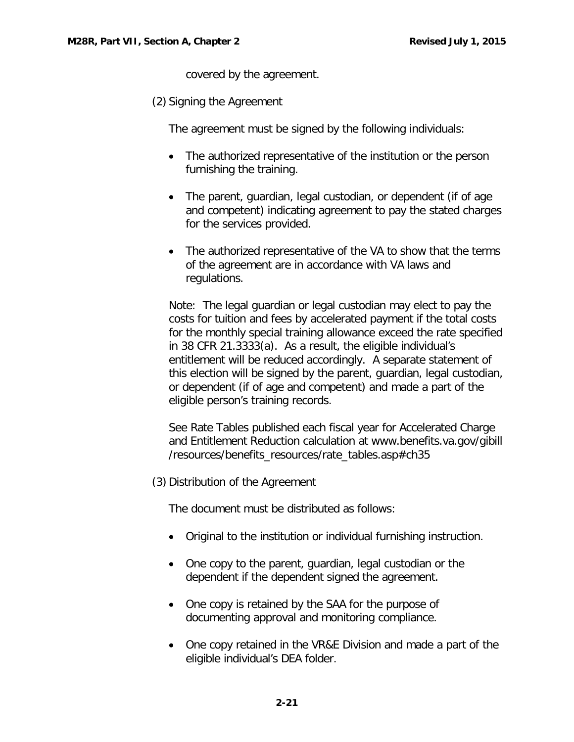covered by the agreement.

(2) Signing the Agreement

The agreement must be signed by the following individuals:

- The authorized representative of the institution or the person furnishing the training.
- The parent, guardian, legal custodian, or dependent (if of age and competent) indicating agreement to pay the stated charges for the services provided.
- The authorized representative of the VA to show that the terms of the agreement are in accordance with VA laws and regulations.

Note: The legal guardian or legal custodian may elect to pay the costs for tuition and fees by accelerated payment if the total costs for the monthly special training allowance exceed the rate specified in 38 CFR 21.3333(a). As a result, the eligible individual's entitlement will be reduced accordingly. A separate statement of this election will be signed by the parent, guardian, legal custodian, or dependent (if of age and competent) and made a part of the eligible person's training records.

See Rate Tables published each fiscal year for Accelerated Charge and Entitlement Reduction calculation at www.benefits.va.gov/gibill /resources/benefits\_resources/rate\_tables.asp#ch35

(3) Distribution of the Agreement

The document must be distributed as follows:

- Original to the institution or individual furnishing instruction.
- One copy to the parent, guardian, legal custodian or the dependent if the dependent signed the agreement.
- One copy is retained by the SAA for the purpose of documenting approval and monitoring compliance.
- One copy retained in the VR&E Division and made a part of the eligible individual's DEA folder.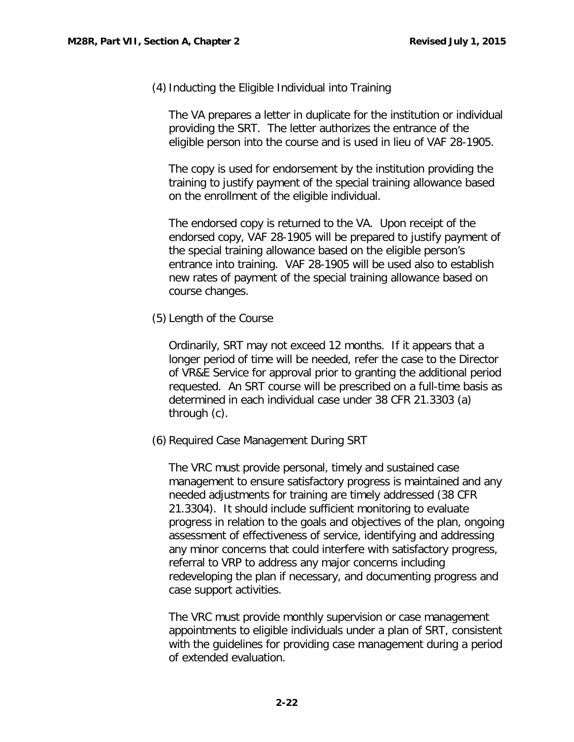(4)Inducting the Eligible Individual into Training

The VA prepares a letter in duplicate for the institution or individual providing the SRT. The letter authorizes the entrance of the eligible person into the course and is used in lieu of VAF 28-1905.

The copy is used for endorsement by the institution providing the training to justify payment of the special training allowance based on the enrollment of the eligible individual.

The endorsed copy is returned to the VA. Upon receipt of the endorsed copy, VAF 28-1905 will be prepared to justify payment of the special training allowance based on the eligible person's entrance into training. VAF 28-1905 will be used also to establish new rates of payment of the special training allowance based on course changes.

(5) Length of the Course

Ordinarily, SRT may not exceed 12 months. If it appears that a longer period of time will be needed, refer the case to the Director of VR&E Service for approval prior to granting the additional period requested. An SRT course will be prescribed on a full-time basis as determined in each individual case under 38 CFR 21.3303 (a) through (c).

(6) Required Case Management During SRT

The VRC must provide personal, timely and sustained case management to ensure satisfactory progress is maintained and any needed adjustments for training are timely addressed (38 CFR 21.3304). It should include sufficient monitoring to evaluate progress in relation to the goals and objectives of the plan, ongoing assessment of effectiveness of service, identifying and addressing any minor concerns that could interfere with satisfactory progress, referral to VRP to address any major concerns including redeveloping the plan if necessary, and documenting progress and case support activities.

The VRC must provide monthly supervision or case management appointments to eligible individuals under a plan of SRT, consistent with the guidelines for providing case management during a period of extended evaluation.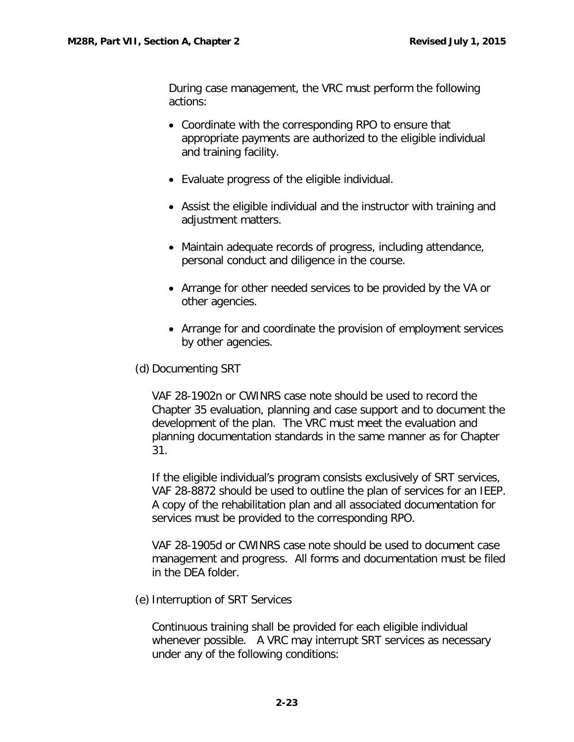During case management, the VRC must perform the following actions:

- Coordinate with the corresponding RPO to ensure that appropriate payments are authorized to the eligible individual and training facility.
- Evaluate progress of the eligible individual.
- Assist the eligible individual and the instructor with training and adjustment matters.
- Maintain adequate records of progress, including attendance, personal conduct and diligence in the course.
- Arrange for other needed services to be provided by the VA or other agencies.
- Arrange for and coordinate the provision of employment services by other agencies.
- (d) Documenting SRT

VAF 28-1902n or CWINRS case note should be used to record the Chapter 35 evaluation, planning and case support and to document the development of the plan. The VRC must meet the evaluation and planning documentation standards in the same manner as for Chapter 31.

If the eligible individual's program consists exclusively of SRT services, VAF 28-8872 should be used to outline the plan of services for an IEEP. A copy of the rehabilitation plan and all associated documentation for services must be provided to the corresponding RPO.

VAF 28-1905d or CWINRS case note should be used to document case management and progress. All forms and documentation must be filed in the DEA folder.

(e) Interruption of SRT Services

Continuous training shall be provided for each eligible individual whenever possible. A VRC may interrupt SRT services as necessary under any of the following conditions: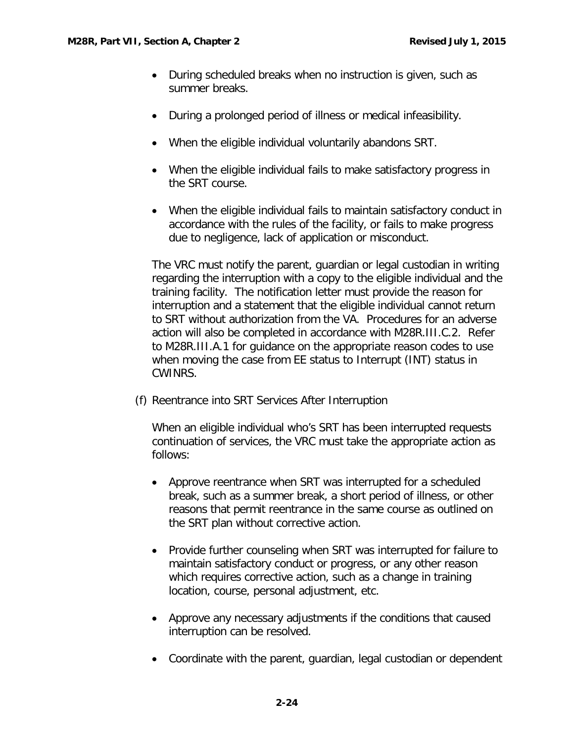- During scheduled breaks when no instruction is given, such as summer breaks.
- During a prolonged period of illness or medical infeasibility.
- When the eligible individual voluntarily abandons SRT.
- When the eligible individual fails to make satisfactory progress in the SRT course.
- When the eligible individual fails to maintain satisfactory conduct in accordance with the rules of the facility, or fails to make progress due to negligence, lack of application or misconduct.

The VRC must notify the parent, guardian or legal custodian in writing regarding the interruption with a copy to the eligible individual and the training facility. The notification letter must provide the reason for interruption and a statement that the eligible individual cannot return to SRT without authorization from the VA. Procedures for an adverse action will also be completed in accordance with M28R.III.C.2. Refer to M28R.III.A.1 for guidance on the appropriate reason codes to use when moving the case from EE status to Interrupt (INT) status in CWINRS.

(f) Reentrance into SRT Services After Interruption

When an eligible individual who's SRT has been interrupted requests continuation of services, the VRC must take the appropriate action as follows:

- Approve reentrance when SRT was interrupted for a scheduled break, such as a summer break, a short period of illness, or other reasons that permit reentrance in the same course as outlined on the SRT plan without corrective action.
- Provide further counseling when SRT was interrupted for failure to maintain satisfactory conduct or progress, or any other reason which requires corrective action, such as a change in training location, course, personal adjustment, etc.
- Approve any necessary adjustments if the conditions that caused interruption can be resolved.
- Coordinate with the parent, guardian, legal custodian or dependent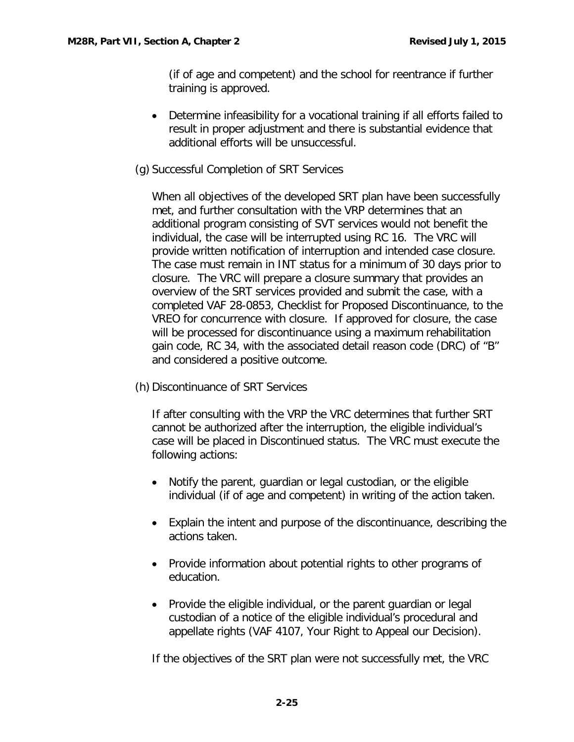(if of age and competent) and the school for reentrance if further training is approved.

- Determine infeasibility for a vocational training if all efforts failed to result in proper adjustment and there is substantial evidence that additional efforts will be unsuccessful.
- (g) Successful Completion of SRT Services

When all objectives of the developed SRT plan have been successfully met, and further consultation with the VRP determines that an additional program consisting of SVT services would not benefit the individual, the case will be interrupted using RC 16. The VRC will provide written notification of interruption and intended case closure. The case must remain in INT status for a minimum of 30 days prior to closure. The VRC will prepare a closure summary that provides an overview of the SRT services provided and submit the case, with a completed VAF 28-0853, Checklist for Proposed Discontinuance, to the VREO for concurrence with closure. If approved for closure, the case will be processed for discontinuance using a maximum rehabilitation gain code, RC 34, with the associated detail reason code (DRC) of "B" and considered a positive outcome.

(h) Discontinuance of SRT Services

If after consulting with the VRP the VRC determines that further SRT cannot be authorized after the interruption, the eligible individual's case will be placed in Discontinued status. The VRC must execute the following actions:

- Notify the parent, guardian or legal custodian, or the eligible individual (if of age and competent) in writing of the action taken.
- Explain the intent and purpose of the discontinuance, describing the actions taken.
- Provide information about potential rights to other programs of education.
- Provide the eligible individual, or the parent guardian or legal custodian of a notice of the eligible individual's procedural and appellate rights (VAF 4107, Your Right to Appeal our Decision).

If the objectives of the SRT plan were not successfully met, the VRC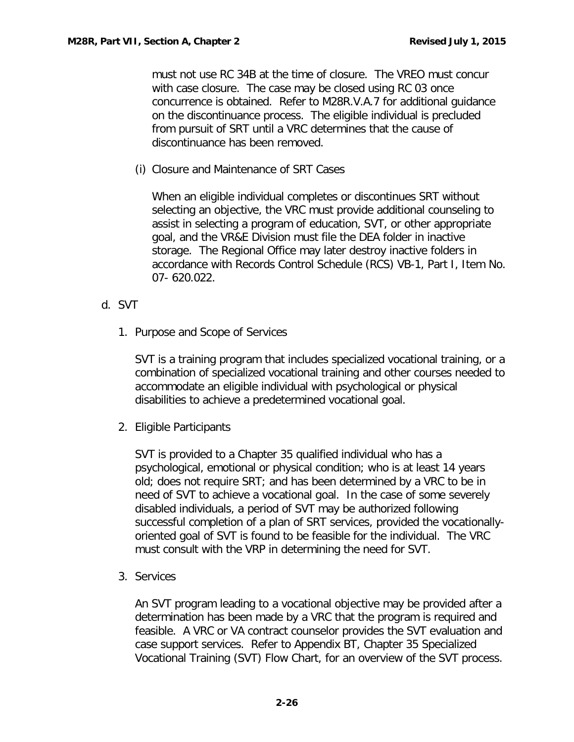must not use RC 34B at the time of closure. The VREO must concur with case closure. The case may be closed using RC 03 once concurrence is obtained. Refer to M28R.V.A.7 for additional guidance on the discontinuance process. The eligible individual is precluded from pursuit of SRT until a VRC determines that the cause of discontinuance has been removed.

(i) Closure and Maintenance of SRT Cases

When an eligible individual completes or discontinues SRT without selecting an objective, the VRC must provide additional counseling to assist in selecting a program of education, SVT, or other appropriate goal, and the VR&E Division must file the DEA folder in inactive storage. The Regional Office may later destroy inactive folders in accordance with Records Control Schedule (RCS) VB-1, Part I, Item No. 07- 620.022.

- <span id="page-26-0"></span>d. SVT
	- 1. Purpose and Scope of Services

SVT is a training program that includes specialized vocational training, or a combination of specialized vocational training and other courses needed to accommodate an eligible individual with psychological or physical disabilities to achieve a predetermined vocational goal.

2. Eligible Participants

SVT is provided to a Chapter 35 qualified individual who has a psychological, emotional or physical condition; who is at least 14 years old; does not require SRT; and has been determined by a VRC to be in need of SVT to achieve a vocational goal. In the case of some severely disabled individuals, a period of SVT may be authorized following successful completion of a plan of SRT services, provided the vocationallyoriented goal of SVT is found to be feasible for the individual. The VRC must consult with the VRP in determining the need for SVT.

3. Services

An SVT program leading to a vocational objective may be provided after a determination has been made by a VRC that the program is required and feasible. A VRC or VA contract counselor provides the SVT evaluation and case support services. Refer to Appendix BT, Chapter 35 Specialized Vocational Training (SVT) Flow Chart, for an overview of the SVT process.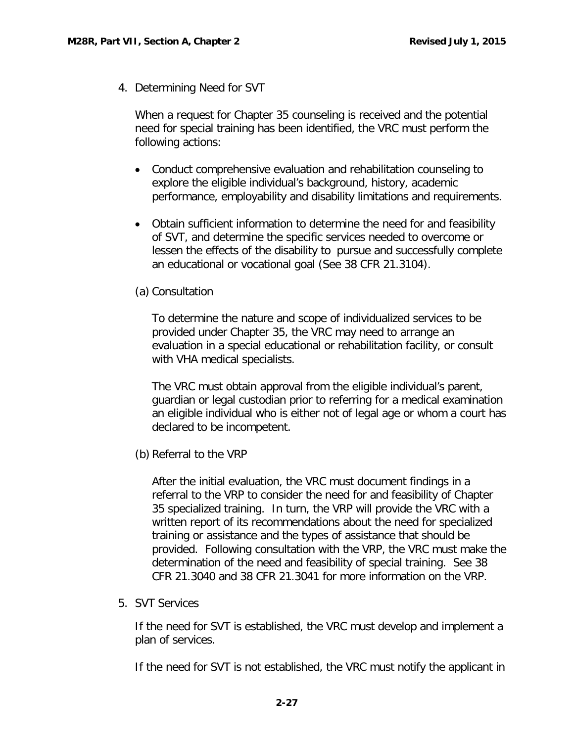4. Determining Need for SVT

When a request for Chapter 35 counseling is received and the potential need for special training has been identified, the VRC must perform the following actions:

- Conduct comprehensive evaluation and rehabilitation counseling to explore the eligible individual's background, history, academic performance, employability and disability limitations and requirements.
- Obtain sufficient information to determine the need for and feasibility of SVT, and determine the specific services needed to overcome or lessen the effects of the disability to pursue and successfully complete an educational or vocational goal (See 38 CFR 21.3104).

#### (a) Consultation

To determine the nature and scope of individualized services to be provided under Chapter 35, the VRC may need to arrange an evaluation in a special educational or rehabilitation facility, or consult with VHA medical specialists.

The VRC must obtain approval from the eligible individual's parent, guardian or legal custodian prior to referring for a medical examination an eligible individual who is either not of legal age or whom a court has declared to be incompetent.

(b) Referral to the VRP

After the initial evaluation, the VRC must document findings in a referral to the VRP to consider the need for and feasibility of Chapter 35 specialized training. In turn, the VRP will provide the VRC with a written report of its recommendations about the need for specialized training or assistance and the types of assistance that should be provided. Following consultation with the VRP, the VRC must make the determination of the need and feasibility of special training. See 38 CFR 21.3040 and 38 CFR 21.3041 for more information on the VRP.

5. SVT Services

If the need for SVT is established, the VRC must develop and implement a plan of services.

If the need for SVT is not established, the VRC must notify the applicant in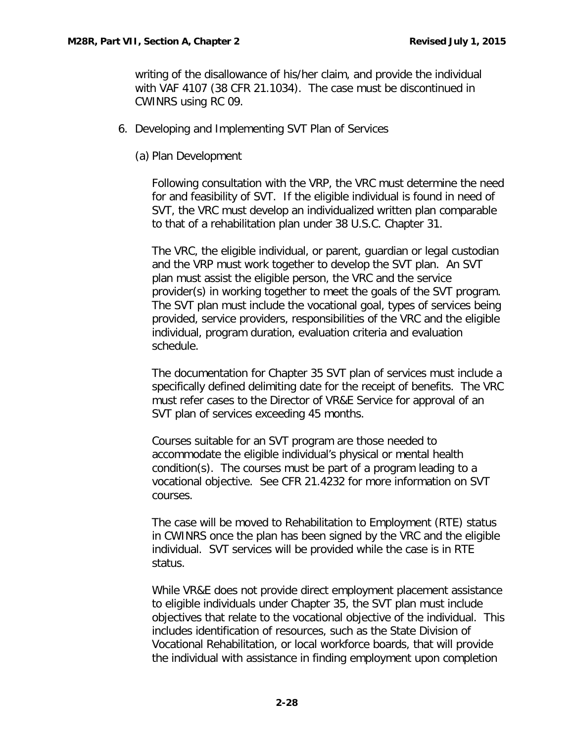writing of the disallowance of his/her claim, and provide the individual with VAF 4107 (38 CFR 21.1034). The case must be discontinued in CWINRS using RC 09.

- 6. Developing and Implementing SVT Plan of Services
	- (a) Plan Development

Following consultation with the VRP, the VRC must determine the need for and feasibility of SVT. If the eligible individual is found in need of SVT, the VRC must develop an individualized written plan comparable to that of a rehabilitation plan under 38 U.S.C. Chapter 31.

The VRC, the eligible individual, or parent, guardian or legal custodian and the VRP must work together to develop the SVT plan. An SVT plan must assist the eligible person, the VRC and the service provider(s) in working together to meet the goals of the SVT program. The SVT plan must include the vocational goal, types of services being provided, service providers, responsibilities of the VRC and the eligible individual, program duration, evaluation criteria and evaluation schedule.

The documentation for Chapter 35 SVT plan of services must include a specifically defined delimiting date for the receipt of benefits. The VRC must refer cases to the Director of VR&E Service for approval of an SVT plan of services exceeding 45 months.

Courses suitable for an SVT program are those needed to accommodate the eligible individual's physical or mental health condition(s). The courses must be part of a program leading to a vocational objective. See CFR 21.4232 for more information on SVT courses.

The case will be moved to Rehabilitation to Employment (RTE) status in CWINRS once the plan has been signed by the VRC and the eligible individual. SVT services will be provided while the case is in RTE status.

While VR&E does not provide direct employment placement assistance to eligible individuals under Chapter 35, the SVT plan must include objectives that relate to the vocational objective of the individual. This includes identification of resources, such as the State Division of Vocational Rehabilitation, or local workforce boards, that will provide the individual with assistance in finding employment upon completion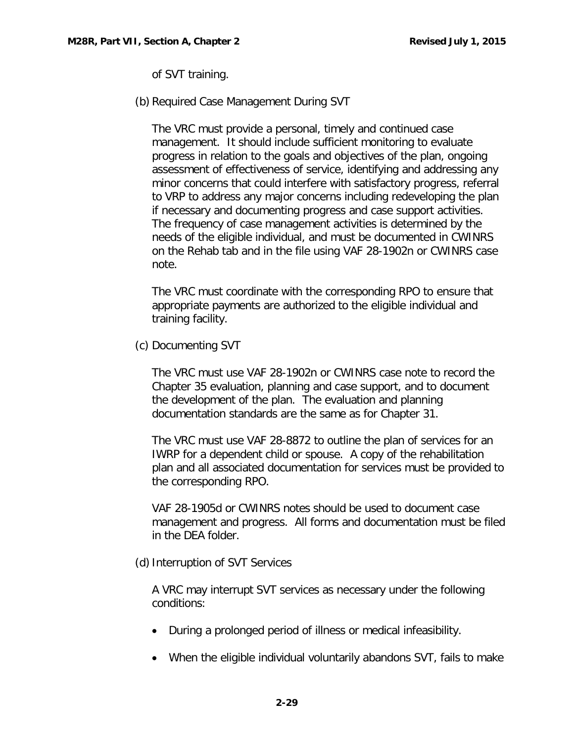of SVT training.

(b) Required Case Management During SVT

The VRC must provide a personal, timely and continued case management. It should include sufficient monitoring to evaluate progress in relation to the goals and objectives of the plan, ongoing assessment of effectiveness of service, identifying and addressing any minor concerns that could interfere with satisfactory progress, referral to VRP to address any major concerns including redeveloping the plan if necessary and documenting progress and case support activities. The frequency of case management activities is determined by the needs of the eligible individual, and must be documented in CWINRS on the Rehab tab and in the file using VAF 28-1902n or CWINRS case note.

The VRC must coordinate with the corresponding RPO to ensure that appropriate payments are authorized to the eligible individual and training facility.

(c) Documenting SVT

The VRC must use VAF 28-1902n or CWINRS case note to record the Chapter 35 evaluation, planning and case support, and to document the development of the plan. The evaluation and planning documentation standards are the same as for Chapter 31.

The VRC must use VAF 28-8872 to outline the plan of services for an IWRP for a dependent child or spouse. A copy of the rehabilitation plan and all associated documentation for services must be provided to the corresponding RPO.

VAF 28-1905d or CWINRS notes should be used to document case management and progress. All forms and documentation must be filed in the DEA folder.

(d) Interruption of SVT Services

A VRC may interrupt SVT services as necessary under the following conditions:

- During a prolonged period of illness or medical infeasibility.
- When the eligible individual voluntarily abandons SVT, fails to make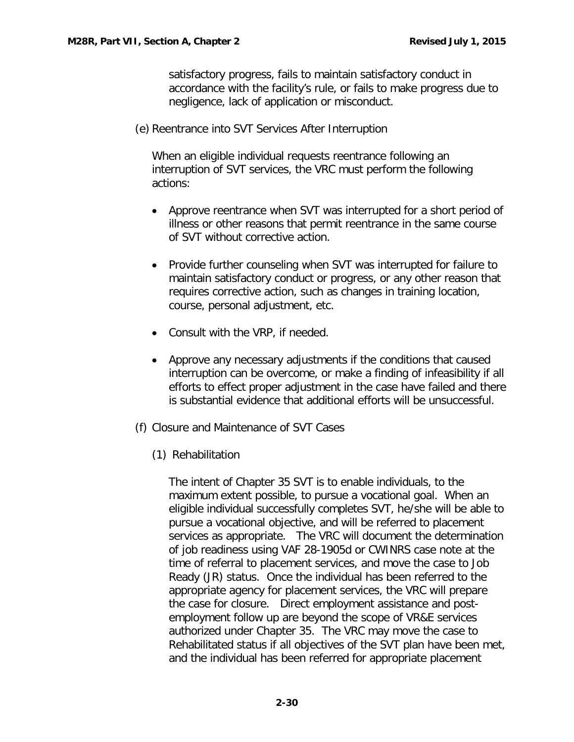satisfactory progress, fails to maintain satisfactory conduct in accordance with the facility's rule, or fails to make progress due to negligence, lack of application or misconduct.

(e) Reentrance into SVT Services After Interruption

When an eligible individual requests reentrance following an interruption of SVT services, the VRC must perform the following actions:

- Approve reentrance when SVT was interrupted for a short period of illness or other reasons that permit reentrance in the same course of SVT without corrective action.
- Provide further counseling when SVT was interrupted for failure to maintain satisfactory conduct or progress, or any other reason that requires corrective action, such as changes in training location, course, personal adjustment, etc.
- Consult with the VRP, if needed.
- Approve any necessary adjustments if the conditions that caused interruption can be overcome, or make a finding of infeasibility if all efforts to effect proper adjustment in the case have failed and there is substantial evidence that additional efforts will be unsuccessful.
- (f) Closure and Maintenance of SVT Cases
	- (1) Rehabilitation

The intent of Chapter 35 SVT is to enable individuals, to the maximum extent possible, to pursue a vocational goal. When an eligible individual successfully completes SVT, he/she will be able to pursue a vocational objective, and will be referred to placement services as appropriate. The VRC will document the determination of job readiness using VAF 28-1905d or CWINRS case note at the time of referral to placement services, and move the case to Job Ready (JR) status. Once the individual has been referred to the appropriate agency for placement services, the VRC will prepare the case for closure. Direct employment assistance and postemployment follow up are beyond the scope of VR&E services authorized under Chapter 35. The VRC may move the case to Rehabilitated status if all objectives of the SVT plan have been met, and the individual has been referred for appropriate placement